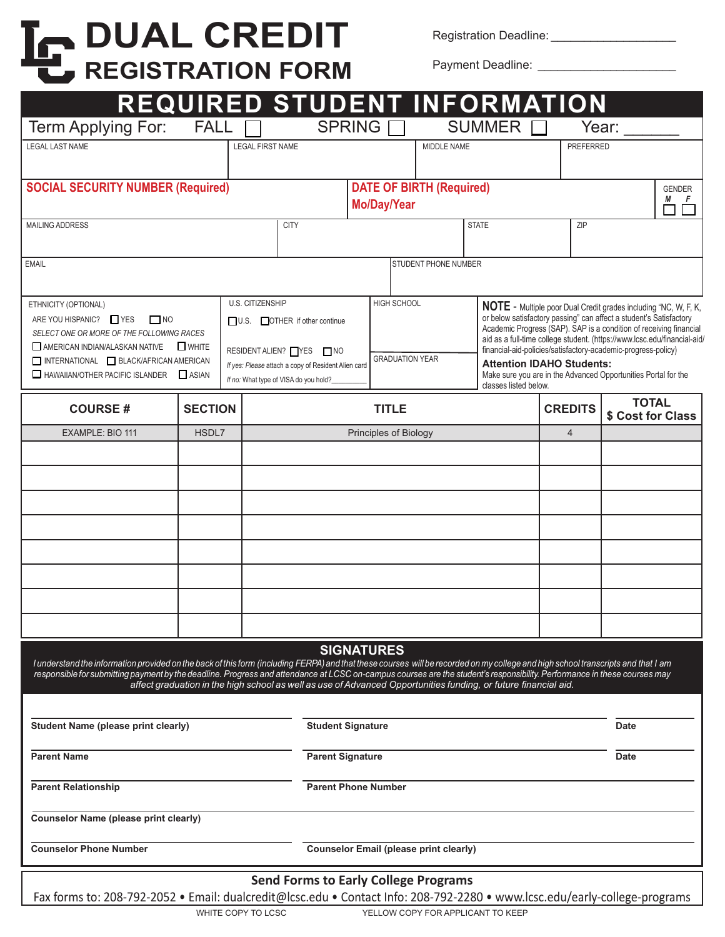# **DUAL CREDIT REGISTRATION FORM**

Registration Deadline: \_\_\_\_\_\_\_\_\_\_\_\_\_\_\_\_\_\_\_

Payment Deadline: \_\_\_\_\_\_\_\_\_\_\_\_\_\_\_\_\_\_\_\_\_

|                                                                                                                                                                                                                                                                                                                                                              |                                               |                                                     |                                 |                       |                                                                                                                                           | REQUIRED STUDENT INFORMATION                                                                                    |                                                                                                                                          |                                   |  |
|--------------------------------------------------------------------------------------------------------------------------------------------------------------------------------------------------------------------------------------------------------------------------------------------------------------------------------------------------------------|-----------------------------------------------|-----------------------------------------------------|---------------------------------|-----------------------|-------------------------------------------------------------------------------------------------------------------------------------------|-----------------------------------------------------------------------------------------------------------------|------------------------------------------------------------------------------------------------------------------------------------------|-----------------------------------|--|
| Term Applying For:                                                                                                                                                                                                                                                                                                                                           | <b>FALL</b>                                   |                                                     |                                 | <b>SPRING</b>         |                                                                                                                                           | <b>SUMMER</b>                                                                                                   |                                                                                                                                          | Year:                             |  |
| <b>LEGAL LAST NAME</b>                                                                                                                                                                                                                                                                                                                                       |                                               | <b>LEGAL FIRST NAME</b>                             |                                 |                       | MIDDLE NAME                                                                                                                               |                                                                                                                 | <b>PREFERRED</b>                                                                                                                         |                                   |  |
|                                                                                                                                                                                                                                                                                                                                                              |                                               |                                                     |                                 |                       |                                                                                                                                           |                                                                                                                 |                                                                                                                                          |                                   |  |
| <b>SOCIAL SECURITY NUMBER (Required)</b>                                                                                                                                                                                                                                                                                                                     |                                               |                                                     | <b>DATE OF BIRTH (Required)</b> |                       |                                                                                                                                           | <b>GENDER</b><br>М<br>F                                                                                         |                                                                                                                                          |                                   |  |
|                                                                                                                                                                                                                                                                                                                                                              | Mo/Day/Year                                   |                                                     |                                 |                       |                                                                                                                                           |                                                                                                                 |                                                                                                                                          |                                   |  |
| <b>CITY</b><br><b>MAILING ADDRESS</b>                                                                                                                                                                                                                                                                                                                        |                                               |                                                     |                                 |                       |                                                                                                                                           | <b>STATE</b>                                                                                                    | ZIP                                                                                                                                      |                                   |  |
| <b>EMAIL</b>                                                                                                                                                                                                                                                                                                                                                 |                                               |                                                     | STUDENT PHONE NUMBER            |                       |                                                                                                                                           |                                                                                                                 |                                                                                                                                          |                                   |  |
|                                                                                                                                                                                                                                                                                                                                                              |                                               |                                                     |                                 |                       |                                                                                                                                           |                                                                                                                 |                                                                                                                                          |                                   |  |
| U.S. CITIZENSHIP<br>ETHNICITY (OPTIONAL)                                                                                                                                                                                                                                                                                                                     |                                               |                                                     |                                 | <b>HIGH SCHOOL</b>    |                                                                                                                                           |                                                                                                                 | NOTE - Multiple poor Dual Credit grades including "NC, W, F, K,                                                                          |                                   |  |
| ARE YOU HISPANIC? THES<br>$\Box$ NO                                                                                                                                                                                                                                                                                                                          |                                               | U.S. OTHER if other continue                        |                                 |                       |                                                                                                                                           |                                                                                                                 | or below satisfactory passing" can affect a student's Satisfactory<br>Academic Progress (SAP). SAP is a condition of receiving financial |                                   |  |
| SELECT ONE OR MORE OF THE FOLLOWING RACES<br>AMERICAN INDIAN/ALASKAN NATIVE WHITE                                                                                                                                                                                                                                                                            | RESIDENT ALIEN? TYES TINO                     |                                                     |                                 |                       | aid as a full-time college student. (https://www.lcsc.edu/financial-aid/<br>financial-aid-policies/satisfactory-academic-progress-policy) |                                                                                                                 |                                                                                                                                          |                                   |  |
| INTERNATIONAL BLACK/AFRICAN AMERICAN<br>HAWAIIAN/OTHER PACIFIC ISLANDER ASIAN                                                                                                                                                                                                                                                                                |                                               | If yes: Please attach a copy of Resident Alien card |                                 |                       | <b>GRADUATION YEAR</b>                                                                                                                    |                                                                                                                 | <b>Attention IDAHO Students:</b><br>Make sure you are in the Advanced Opportunities Portal for the                                       |                                   |  |
|                                                                                                                                                                                                                                                                                                                                                              | If no: What type of VISA do you hold?         |                                                     |                                 |                       | classes listed below.                                                                                                                     |                                                                                                                 |                                                                                                                                          |                                   |  |
| <b>COURSE#</b>                                                                                                                                                                                                                                                                                                                                               | <b>SECTION</b>                                |                                                     |                                 |                       | <b>TITLE</b>                                                                                                                              |                                                                                                                 | <b>CREDITS</b>                                                                                                                           | <b>TOTAL</b><br>\$ Cost for Class |  |
| EXAMPLE: BIO 111                                                                                                                                                                                                                                                                                                                                             | HSDL7                                         |                                                     |                                 | Principles of Biology |                                                                                                                                           |                                                                                                                 | $\overline{4}$                                                                                                                           |                                   |  |
|                                                                                                                                                                                                                                                                                                                                                              |                                               |                                                     |                                 |                       |                                                                                                                                           |                                                                                                                 |                                                                                                                                          |                                   |  |
|                                                                                                                                                                                                                                                                                                                                                              |                                               |                                                     |                                 |                       |                                                                                                                                           |                                                                                                                 |                                                                                                                                          |                                   |  |
|                                                                                                                                                                                                                                                                                                                                                              |                                               |                                                     |                                 |                       |                                                                                                                                           |                                                                                                                 |                                                                                                                                          |                                   |  |
|                                                                                                                                                                                                                                                                                                                                                              |                                               |                                                     |                                 |                       |                                                                                                                                           |                                                                                                                 |                                                                                                                                          |                                   |  |
|                                                                                                                                                                                                                                                                                                                                                              |                                               |                                                     |                                 |                       |                                                                                                                                           |                                                                                                                 |                                                                                                                                          |                                   |  |
|                                                                                                                                                                                                                                                                                                                                                              |                                               |                                                     |                                 |                       |                                                                                                                                           |                                                                                                                 |                                                                                                                                          |                                   |  |
|                                                                                                                                                                                                                                                                                                                                                              |                                               |                                                     |                                 |                       |                                                                                                                                           |                                                                                                                 |                                                                                                                                          |                                   |  |
|                                                                                                                                                                                                                                                                                                                                                              |                                               |                                                     |                                 |                       |                                                                                                                                           |                                                                                                                 |                                                                                                                                          |                                   |  |
|                                                                                                                                                                                                                                                                                                                                                              |                                               |                                                     |                                 |                       |                                                                                                                                           |                                                                                                                 |                                                                                                                                          |                                   |  |
| <b>SIGNATURES</b>                                                                                                                                                                                                                                                                                                                                            |                                               |                                                     |                                 |                       |                                                                                                                                           |                                                                                                                 |                                                                                                                                          |                                   |  |
| I understand the information provided on the back of this form (including FERPA) and that these courses will be recorded on my college and high school transcripts and that I am<br>responsible for submitting payment by the deadline. Progress and attendance at LCSC on-campus courses are the student's responsibility. Performance in these courses may |                                               |                                                     |                                 |                       |                                                                                                                                           |                                                                                                                 |                                                                                                                                          |                                   |  |
|                                                                                                                                                                                                                                                                                                                                                              |                                               |                                                     |                                 |                       |                                                                                                                                           | affect graduation in the high school as well as use of Advanced Opportunities funding, or future financial aid. |                                                                                                                                          |                                   |  |
|                                                                                                                                                                                                                                                                                                                                                              |                                               |                                                     |                                 |                       |                                                                                                                                           |                                                                                                                 |                                                                                                                                          |                                   |  |
| Student Name (please print clearly)                                                                                                                                                                                                                                                                                                                          | <b>Student Signature</b>                      |                                                     |                                 |                       |                                                                                                                                           | <b>Date</b>                                                                                                     |                                                                                                                                          |                                   |  |
| <b>Parent Name</b>                                                                                                                                                                                                                                                                                                                                           | <b>Parent Signature</b>                       |                                                     |                                 |                       |                                                                                                                                           | <b>Date</b>                                                                                                     |                                                                                                                                          |                                   |  |
| <b>Parent Relationship</b>                                                                                                                                                                                                                                                                                                                                   | <b>Parent Phone Number</b>                    |                                                     |                                 |                       |                                                                                                                                           |                                                                                                                 |                                                                                                                                          |                                   |  |
|                                                                                                                                                                                                                                                                                                                                                              |                                               |                                                     |                                 |                       |                                                                                                                                           |                                                                                                                 |                                                                                                                                          |                                   |  |
| Counselor Name (please print clearly)                                                                                                                                                                                                                                                                                                                        |                                               |                                                     |                                 |                       |                                                                                                                                           |                                                                                                                 |                                                                                                                                          |                                   |  |
| <b>Counselor Phone Number</b>                                                                                                                                                                                                                                                                                                                                | <b>Counselor Email (please print clearly)</b> |                                                     |                                 |                       |                                                                                                                                           |                                                                                                                 |                                                                                                                                          |                                   |  |
| <b>Send Forms to Early College Programs</b>                                                                                                                                                                                                                                                                                                                  |                                               |                                                     |                                 |                       |                                                                                                                                           |                                                                                                                 |                                                                                                                                          |                                   |  |
| Fax forms to: 208-792-2052 • Email: dualcredit@lcsc.edu • Contact Info: 208-792-2280 • www.lcsc.edu/early-college-programs                                                                                                                                                                                                                                   |                                               |                                                     |                                 |                       |                                                                                                                                           |                                                                                                                 |                                                                                                                                          |                                   |  |